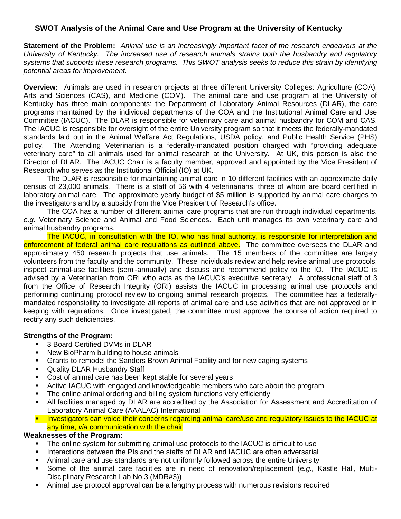# **SWOT Analysis of the Animal Care and Use Program at the University of Kentucky**

**Statement of the Problem:** *Animal use is an increasingly important facet of the research endeavors at the University of Kentucky. The increased use of research animals strains both the husbandry and regulatory systems that supports these research programs. This SWOT analysis seeks to reduce this strain by identifying potential areas for improvement.*

**Overview:** Animals are used in research projects at three different University Colleges: Agriculture (COA), Arts and Sciences (CAS), and Medicine (COM). The animal care and use program at the University of Kentucky has three main components: the Department of Laboratory Animal Resources (DLAR), the care programs maintained by the individual departments of the COA and the Institutional Animal Care and Use Committee (IACUC). The DLAR is responsible for veterinary care and animal husbandry for COM and CAS. The IACUC is responsible for oversight of the entire University program so that it meets the federally-mandated standards laid out in the Animal Welfare Act Regulations, USDA policy, and Public Health Service (PHS) policy. The Attending Veterinarian is a federally-mandated position charged with "providing adequate veterinary care" to all animals used for animal research at the University. At UK, this person is also the Director of DLAR. The IACUC Chair is a faculty member, approved and appointed by the Vice President of Research who serves as the Institutional Official (IO) at UK.

The DLAR is responsible for maintaining animal care in 10 different facilities with an approximate daily census of 23,000 animals. There is a staff of 56 with 4 veterinarians, three of whom are board certified in laboratory animal care. The approximate yearly budget of \$5 million is supported by animal care charges to the investigators and by a subsidy from the Vice President of Research's office.

The COA has a number of different animal care programs that are run through individual departments, *e.g.* Veterinary Science and Animal and Food Sciences. Each unit manages its own veterinary care and animal husbandry programs.

The IACUC, in consultation with the IO, who has final authority, is responsible for interpretation and enforcement of federal animal care regulations as outlined above. The committee oversees the DLAR and approximately 450 research projects that use animals. The 15 members of the committee are largely volunteers from the faculty and the community. These individuals review and help revise animal use protocols, inspect animal-use facilities (semi-annually) and discuss and recommend policy to the IO. The IACUC is advised by a Veterinarian from ORI who acts as the IACUC's executive secretary. A professional staff of 3 from the Office of Research Integrity (ORI) assists the IACUC in processing animal use protocols and performing continuing protocol review to ongoing animal research projects. The committee has a federallymandated responsibility to investigate all reports of animal care and use activities that are not approved or in keeping with regulations. Once investigated, the committee must approve the course of action required to rectify any such deficiencies.

### **Strengths of the Program:**

- 3 Board Certified DVMs in DLAR
- New BioPharm building to house animals
- Grants to remodel the Sanders Brown Animal Facility and for new caging systems
- Quality DLAR Husbandry Staff
- Cost of animal care has been kept stable for several years
- Active IACUC with engaged and knowledgeable members who care about the program
- The online animal ordering and billing system functions very efficiently
- All facilities managed by DLAR are accredited by the Association for Assessment and Accreditation of Laboratory Animal Care (AAALAC) International
- Investigators can voice their concerns regarding animal care/use and regulatory issues to the IACUC at any time, *via* communication with the chair

#### **Weaknesses of the Program:**

- The online system for submitting animal use protocols to the IACUC is difficult to use
- Interactions between the PIs and the staffs of DLAR and IACUC are often adversarial
- Animal care and use standards are not uniformly followed across the entire University
- Some of the animal care facilities are in need of renovation/replacement (e*.g.,* Kastle Hall, Multi-Disciplinary Research Lab No 3 (MDR#3))
- Animal use protocol approval can be a lengthy process with numerous revisions required